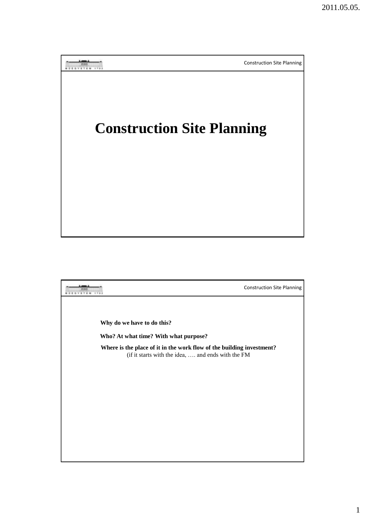. . . . . <del>. . . . . .</del> . . . . Construction Site Planning **Construction Site Planning**

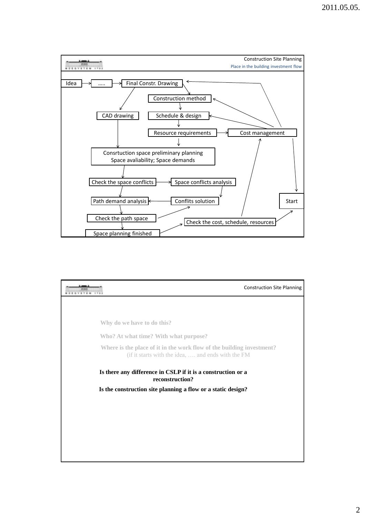

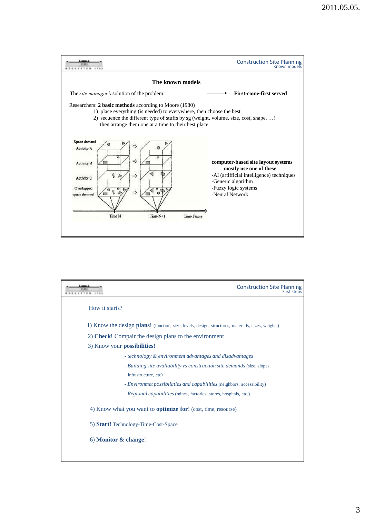

|                                                                                                   | <b>Construction Site Planning</b><br><b>First steps</b> |
|---------------------------------------------------------------------------------------------------|---------------------------------------------------------|
| How it starts?                                                                                    |                                                         |
| 1) Know the design plans! (function, size, levels, design, structures, materials, sizes, weights) |                                                         |
| 2) Check! Compair the design plans to the environment                                             |                                                         |
| 3) Know your <b>possibilities</b> !                                                               |                                                         |
| - technology & environment advantages and disadvantages                                           |                                                         |
| - Building site avaliability vs construction site demands (size, slopes,<br>infrastructure, etc)  |                                                         |
| - Environmet possibilaties and capabilities (neighbors, accessibility)                            |                                                         |
| - Regional capabilities (mines, factories, stores, hospitals, etc.)                               |                                                         |
| 4) Know what you want to <b>optimize for</b> ! (cost, time, resourse)                             |                                                         |
| 5) Start! Technology-Time-Cost-Space                                                              |                                                         |
| $(6)$ Monitor $\&$ change!                                                                        |                                                         |
|                                                                                                   |                                                         |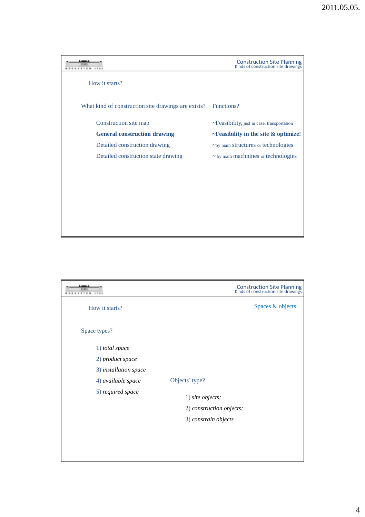|                                                     | <b>Construction Site Planning</b><br>Kinds of construction site drawings |
|-----------------------------------------------------|--------------------------------------------------------------------------|
| How it starts?                                      |                                                                          |
| What kind of construction site drawings are exists? | Functions?                                                               |
| Construction site map                               | $\sim$ Feasibility, just in case, transportation                         |
| <b>General construction drawing</b>                 | $\sim$ Feasibility in the site $\&$ optimize!                            |
| Detailed construction drawing                       | $\sim$ by main structures or technologies                                |
| Detailed construction state drawing                 | $\sim$ by main machnines or technologies                                 |
|                                                     |                                                                          |
|                                                     |                                                                          |
|                                                     |                                                                          |
|                                                     |                                                                          |
|                                                     |                                                                          |
|                                                     |                                                                          |
|                                                     |                                                                          |

| <b>Construction Site Planning</b><br>Kinds of construction site drawings |
|--------------------------------------------------------------------------|
| Spaces & objects                                                         |
|                                                                          |
|                                                                          |
|                                                                          |
|                                                                          |
| Objects' type?                                                           |
| 1) site objects;                                                         |
| 2) construction objects;                                                 |
| 3) constrain objects                                                     |
|                                                                          |
|                                                                          |
|                                                                          |
|                                                                          |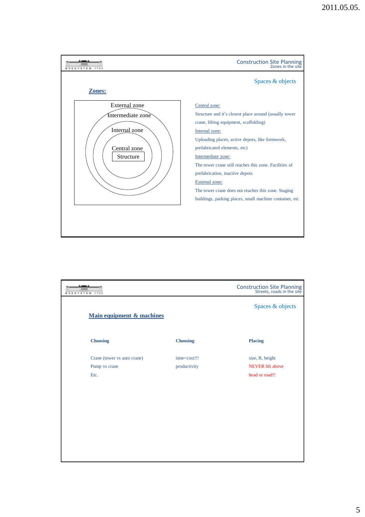

| <b>TEM</b>                           |                 | <b>Construction Site Planning</b><br>Streets, roads in the site |
|--------------------------------------|-----------------|-----------------------------------------------------------------|
| <b>Main equipment &amp; machines</b> |                 | Spaces & objects                                                |
| <b>Choosing</b>                      | <b>Choosing</b> | <b>Placing</b>                                                  |
| Crane (tower vs auto crane)          | time=cost!!!    | size, R, height                                                 |
| Pump vs crane                        | productivity    | <b>NEVER</b> lift above                                         |
| Etc.                                 |                 | head or road!!                                                  |
|                                      |                 |                                                                 |
|                                      |                 |                                                                 |
|                                      |                 |                                                                 |
|                                      |                 |                                                                 |
|                                      |                 |                                                                 |
|                                      |                 |                                                                 |
|                                      |                 |                                                                 |
|                                      |                 |                                                                 |
|                                      |                 |                                                                 |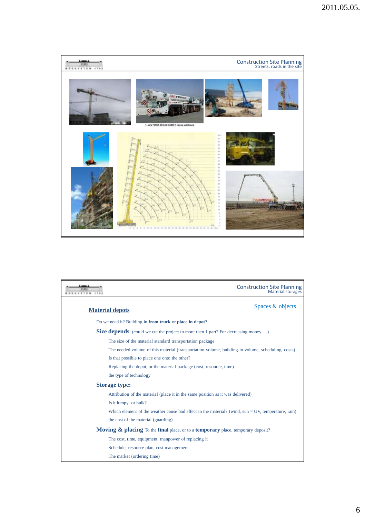

|                                                                                                           | <b>Construction Site Planning</b><br>Material storages |
|-----------------------------------------------------------------------------------------------------------|--------------------------------------------------------|
| <b>Material depots</b>                                                                                    | Spaces & objects                                       |
| Do we need it? Building in from truck or place in depot?                                                  |                                                        |
| <b>Size depends:</b> (could we cut the project to more then 1 part? For decreasing money)                 |                                                        |
| The size of the material standard transportation package                                                  |                                                        |
| The needed volume of this material (transportation volume, building-in volume, scheduling, costs)         |                                                        |
| Is that possible to place one onto the other?                                                             |                                                        |
| Replacing the depot, or the material package (cost, resource, time)                                       |                                                        |
| the type of technology                                                                                    |                                                        |
| <b>Storage type:</b>                                                                                      |                                                        |
| Attribution of the material (place it in the same position as it was delivered)                           |                                                        |
| Is it lumpy or bulk?                                                                                      |                                                        |
| Which element of the weather cause bad effect to the material? (wind, $sun = UV$ , temperature, rain)     |                                                        |
| the cost of the material (guarding)                                                                       |                                                        |
| <b>Moving &amp; placing</b> To the <b>final</b> place, or to a <b>temporary</b> place, temporary deposit? |                                                        |
| The cost, time, equipment, manpower of replacing it                                                       |                                                        |
| Schedule, resource plan, cost management                                                                  |                                                        |
| The market (ordering time)                                                                                |                                                        |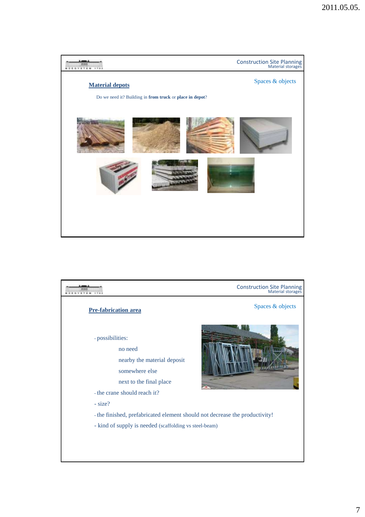

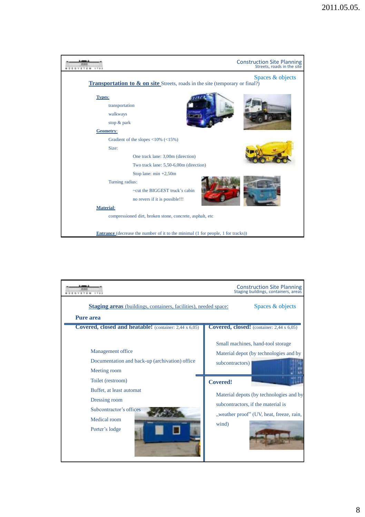

|                                                                                                                                                                                                                    | <b>Construction Site Planning</b><br>Staging buildings, containers, areas                                                                                                                                                                               |
|--------------------------------------------------------------------------------------------------------------------------------------------------------------------------------------------------------------------|---------------------------------------------------------------------------------------------------------------------------------------------------------------------------------------------------------------------------------------------------------|
| Spaces & objects<br><b>Staging areas</b> (buildings, containers, facilities), needed space:                                                                                                                        |                                                                                                                                                                                                                                                         |
| <b>Pure area</b>                                                                                                                                                                                                   |                                                                                                                                                                                                                                                         |
| <b>Covered, closed and heatable!</b> (container: 2,44 x 6,05)                                                                                                                                                      | Covered, closed! (container: 2,44 x 6,05)                                                                                                                                                                                                               |
| Management office<br>Documentation and back-up (archivation) office<br>Meeting room<br>Toilet (restroom)<br>Buffet, at least automat<br>Dressing room<br>Subcontractor's offices<br>Medical room<br>Porter's lodge | Small machines, hand-tool storage<br>Material depot (by technologies and by<br>subcontractors)<br><b>Covered!</b><br>Material depots (by technologies and by<br>subcontractors, if the material is<br>"weather proof" (UV, heat, freeze, rain,<br>wind) |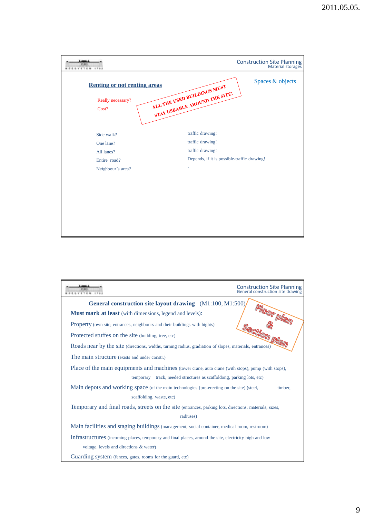| . <b>.</b>                                                        | <b>Construction Site Planning</b><br>Material storages                           |
|-------------------------------------------------------------------|----------------------------------------------------------------------------------|
| <b>Renting or not renting areas</b><br>Really necessary?<br>Cost? | Spaces & objects<br>ALL THE USED BUILDINGS MUST<br>STAY USEABLE AROUND THE SITE! |
| Side walk?                                                        | traffic drawing!                                                                 |
| One lane?                                                         | traffic drawing!                                                                 |
| All lanes?                                                        | traffic drawing!                                                                 |
| Entire road?                                                      | Depends, if it is possible-traffic drawing!                                      |
| Neighbour's area?                                                 |                                                                                  |
|                                                                   |                                                                                  |
|                                                                   |                                                                                  |
|                                                                   |                                                                                  |
|                                                                   |                                                                                  |
|                                                                   |                                                                                  |
|                                                                   |                                                                                  |
|                                                                   |                                                                                  |

|                                                                                                         | <b>Construction Site Planning</b><br>General construction site drawing |
|---------------------------------------------------------------------------------------------------------|------------------------------------------------------------------------|
| General construction site layout drawing (M1:100, M1:500)/                                              |                                                                        |
| <b>Must mark at least</b> (with dimensions, legend and levels):                                         | Floor plan                                                             |
| <b>Property</b> (own site, entrances, neighbours and their buildings with hights)                       |                                                                        |
| Protected stuffes on the site (building, tree, etc)                                                     | Section plan                                                           |
| Roads near by the site (directions, widths, turning radius, gradiation of slopes, materials, entrances) |                                                                        |
| The main structure (exists and under constr.)                                                           |                                                                        |
| Place of the main equipments and machines (tower crane, auto crane (with stops), pump (with stops),     |                                                                        |
| track, needed structures as scaffoldong, parking lots, etc)<br>temporary                                |                                                                        |
| Main depots and working space (of the main technologies (pre-erecting on the site) (steel,              | timber.                                                                |
| scaffolding, waste, etc)                                                                                |                                                                        |
| Temporary and final roads, streets on the site (entrances, parking lots, directions, materials, sizes,  |                                                                        |
| radiuses)                                                                                               |                                                                        |
| Main facilities and staging buildings (management, social container, medical room, restroom)            |                                                                        |
| Infrastructures (incoming places, temporary and final places, around the site, electricity high and low |                                                                        |
| voltage, levels and directions & water)                                                                 |                                                                        |
| Guarding system (fences, gates, rooms for the guard, etc)                                               |                                                                        |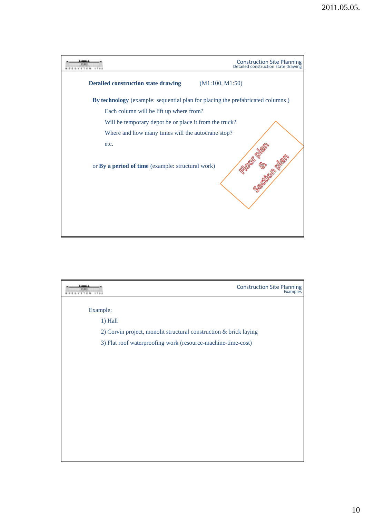

|                                                                   | <b>Construction Site Planning</b><br>Examples |
|-------------------------------------------------------------------|-----------------------------------------------|
| Example:                                                          |                                               |
| 1) Hall                                                           |                                               |
| 2) Corvin project, monolit structural construction & brick laying |                                               |
| 3) Flat roof waterproofing work (resource-machine-time-cost)      |                                               |
|                                                                   |                                               |
|                                                                   |                                               |
|                                                                   |                                               |
|                                                                   |                                               |
|                                                                   |                                               |
|                                                                   |                                               |
|                                                                   |                                               |
|                                                                   |                                               |
|                                                                   |                                               |
|                                                                   |                                               |